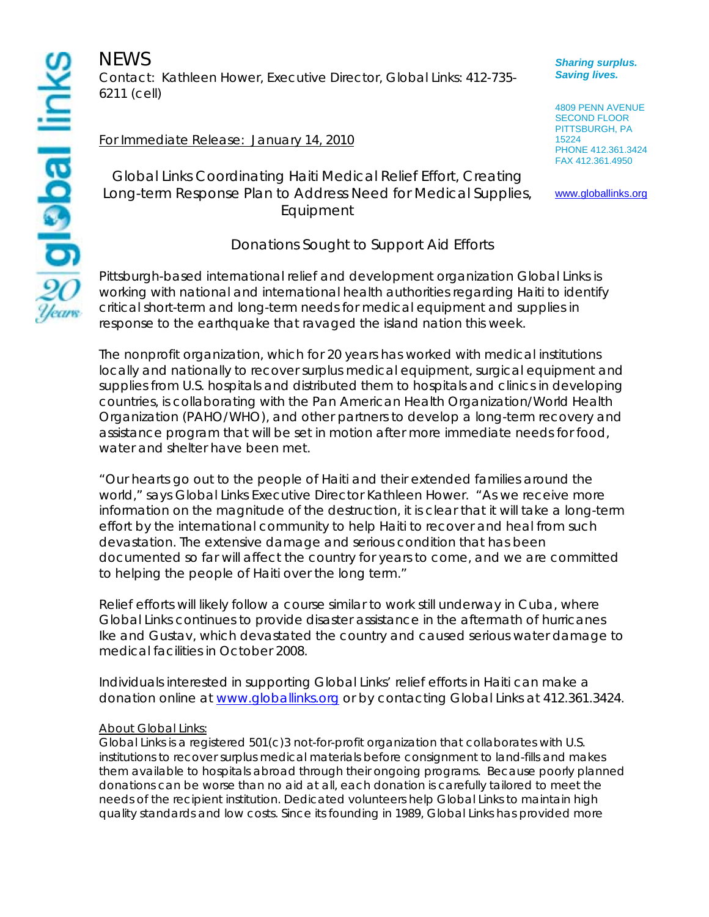**NEWS** Contact: Kathleen Hower, Executive Director, Global Links: 412-735- 6211 (cell)

## For Immediate Release: January 14, 2010

Global Links Coordinating Haiti Medical Relief Effort, Creating Long-term Response Plan to Address Need for Medical Supplies, Equipment

## Donations Sought to Support Aid Efforts

Pittsburgh-based international relief and development organization Global Links is working with national and international health authorities regarding Haiti to identify critical short-term and long-term needs for medical equipment and supplies in response to the earthquake that ravaged the island nation this week.

The nonprofit organization, which for 20 years has worked with medical institutions locally and nationally to recover surplus medical equipment, surgical equipment and supplies from U.S. hospitals and distributed them to hospitals and clinics in developing countries, is collaborating with the Pan American Health Organization/World Health Organization (PAHO/WHO), and other partners to develop a long-term recovery and assistance program that will be set in motion after more immediate needs for food, water and shelter have been met.

"Our hearts go out to the people of Haiti and their extended families around the world," says Global Links Executive Director Kathleen Hower. "As we receive more information on the magnitude of the destruction, it is clear that it will take a long-term effort by the international community to help Haiti to recover and heal from such devastation. The extensive damage and serious condition that has been documented so far will affect the country for years to come, and we are committed to helping the people of Haiti over the long term."

Relief efforts will likely follow a course similar to work still underway in Cuba, where Global Links continues to provide disaster assistance in the aftermath of hurricanes Ike and Gustav, which devastated the country and caused serious water damage to medical facilities in October 2008.

Individuals interested in supporting Global Links' relief efforts in Haiti can make a donation online at www.globallinks.org or by contacting Global Links at 412.361.3424.

## **About Global Links:**

Global Links is a registered 501(c)3 not-for-profit organization that collaborates with U.S. institutions to recover surplus medical materials before consignment to land-fills and makes them available to hospitals abroad through their ongoing programs. Because poorly planned donations can be worse than no aid at all, each donation is carefully tailored to meet the needs of the recipient institution. Dedicated volunteers help Global Links to maintain high quality standards and low costs. Since its founding in 1989, Global Links has provided more

*Sharing surplus. Saving lives.* 

4809 PENN AVENUE SECOND FLOOR PITTSBURGH, PA 15224 PHONE 412.361.3424 FAX 412.361.4950

www.globallinks.org